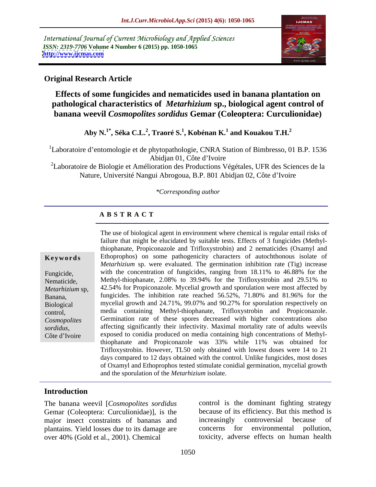International Journal of Current Microbiology and Applied Sciences *ISSN: 2319-7706* **Volume 4 Number 6 (2015) pp. 1050-1065 <http://www.ijcmas.com>**



### **Original Research Article**

**Effects of some fungicides and nematicides used in banana plantation on pathological characteristics of** *Metarhizium* **sp., biological agent control of banana weevil** *Cosmopolites sordidus* **Gemar (Coleoptera: Curculionidae)**

> **Aby N.1\* , Séka C.L.<sup>2</sup> , Traoré S.<sup>1</sup> , Kobénan K.<sup>1</sup> and Kouakou T.H.<sup>2</sup>**

<sup>1</sup>Laboratoire d'entomologie et de phytopathologie, CNRA Station of Bimbresso, 01 B.P. 1536 Abidjan 01, Côte d'Ivoire

<sup>2</sup>Laboratoire de Biologie et Amélioration des Productions Végétales, UFR des Sciences de la Nature, Université Nangui Abrogoua, B.P. 801 Abidjan 02, Côte d Ivoire

#### *\*Corresponding author*

#### **A B S T R A C T**

The use of biological agent in environment where chemical is regular entail risks of failure that might be elucidated by suitable tests. Effects of 3 fungicides (Methylthiophanate, Propiconazole and Trifloxystrobin) and 2 nematicides (Oxamyl and **Keywords** Ethoprophos) on some pathogenicity characters of autochthonous isolate of *Metarhizium* sp. were evaluated. The germination inhibition rate (Tig) increase with the concentration of fungicides, ranging from 18.11% to 46.88% for the Fungicide, Methyl-thiophanate, 2.08% to 39.94% for the Trifloxystrobin and 29.51% to Nematicide, Metarhizium sp, 42.54% for Propiconazole. Mycelial growth and sporulation were most affected by fungicides. The inhibition rate reached 56.52%, 71.80% and 81.96% for the Banana, mycelial growth and 24.71%, 99.07% and 90.27% for sporulation respectively on Biological control, media containing Methyl-thiophanate, Trifloxystrobin and Propiconazole. Germination rate of these spores decreased with higher concentrations also *Cosmopolites*  affecting significantly their infectivity. Maximal mortality rate of adults weevils sordidus,<br>Côte d'Ivoire exposed to conidia produced on media containing high concentrations of Methylthiophanate and Propiconazole was 33% while 11% was obtained for Trifloxystrobin. However, TL50 only obtained with lowest doses were 14 to 21 days compared to 12 days obtained with the control. Unlike fungicides, most doses of Oxamyl and Ethoprophos tested stimulate conidial germination, mycelial growth and the sporulation of the *Metarhizium* isolate.

### **Introduction**

The banana weevil [*Cosmopolites sordidus*] Gemar (Coleoptera: Curculionidae)], is the major insect constraints of bananas and increasingly controversial because of plantains. Yield losses due to its damage are concerns for environmental pollution, over 40% (Gold et al., 2001). Chemical

control is the dominant fighting strategy because of its efficiency. But this method is increasingly controversial because of concerns for environmental pollution, toxicity, adverse effects on human health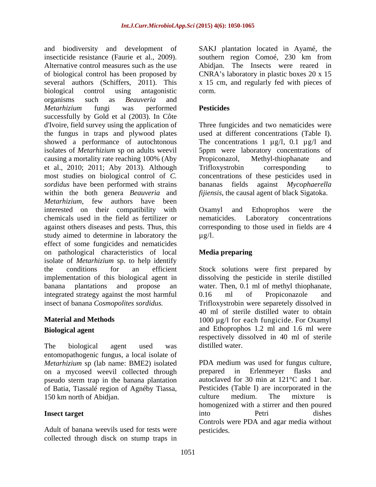and biodiversity and development of SAKJ plantation located in Ayamé, the insecticide resistance (Faurie et al., 2009). Southern region Comoé, 230 km from Alternative control measures such as the use Abidjan. The Insects were reared in of biological control has been proposed by CNRA's laboratory in plastic boxes 20 x 15 several authors (Schiffers, 2011). This biological control using antagonistic organisms such as *Beauveria* and *Metarhizium* fungi was performed successfully by Gold et al (2003). In Côte d'Ivoire, field survey using the application of Three fungicides and two nematicides were the fungus in traps and plywood plates showed a performance of autochtonous The concentrations  $1 \mu g/l$ ,  $0.1 \mu g/l$  and isolates of *Metarhizium* sp on adults weevil 5ppm were laboratory concentrations of causing a mortality rate reaching 100% (Aby Propiconazol, Methyl-thiophanate and et al., 2010; 2011; Aby 2013). Although most studies on biological control of *C.*  concentrations of these pesticides used in *sordidus* have been performed with strains within the both genera *Beauveria* and *Metarhizium*, few authors have been interested on their compatibility with Oxamyl and Ethoprophos were the chemicals used in the field as fertilizer or against others diseases and pests. Thus, this corresponding to those used in fields are 4 study aimed to determine in laboratory the  $\mu$ g/l. effect of some fungicides and nematicides on pathological characteristics of local isolate of *Metarhizium* sp. to help identify the conditions for an efficient Stock solutions were first prepared by implementation of this biological agent in dissolving the pesticide in sterile distilled banana plantations and propose an water. Then, 0.1 ml of methyl thiophanate, integrated strategy against the most harmful  $0.16$  ml of Propiconazole and

The biological agent used was distilled water. entomopathogenic fungus, a local isolate of *Metarhizium* sp (lab name: BME2) isolated on a mycosed weevil collected through prepared in Erlenmeyer flasks and pseudo sterm trap in the banana plantation of Batia, Tiassalé region of Agnéby Tiassa, 150 km north of Abidian. The mixture is

Adult of banana weevils used for tests were collected through disck on stump traps in southern region Comoé, 230 km from Abidjan. The Insects were reared in x 15 cm, and regularly fed with pieces of corm.

### **Pesticides**

used at different concentrations (Table I). Propiconazol, Methyl-thiophanate and Trifloxystrobin corresponding to fields against *Mycophaerella fijiensis*, the causal agent of black Sigatoka.

Oxamyl and Ethoprophos were the Laboratory concentrations  $\mu$ g/l.

## **Media preparing**

insect of banana *Cosmopolites sordidus.* Trifloxystrobin were separetely dissolved in **Material and Methods 1000** μg/l for each fungicide. For Oxamyl **Biological agent** and Ethoprophos 1.2 ml and 1.6 ml were 0.16 ml of Propiconazole and 40 ml of sterile distilled water to obtain respectively dissolved in 40 ml of sterile distilled water.

**Insect target into Petri dishes** PDA medium was used for fungus culture, prepared in Erlenmeyer flasks and autoclaved for 30 min at 121°C and 1 bar. Pesticides (Table I) are incorporated in the culture medium. The mixture is homogenized with a stirrer and then poured into Petri dishes Controls were PDA and agar media without pesticides.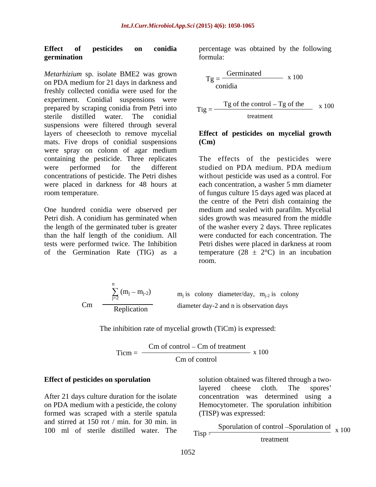#### **Effect of pesticides on conidia** percentage was obtained by the following **germination**

*Metarhizium* sp. isolate BME2 was grown on PDA medium for 21 days in darkness and freshly collected conidia were used for the experiment. Conidial suspensions were prepared by scraping conidia from Petri into sterile distilled water. The conidial suspensions were filtered through several layers of cheesecloth to remove mycelial **Effect of pesticides on mycelial growth** mats. Five drops of conidial suspensions (Cm) were spray on colonn of agar medium containing the pesticide. Three replicates The effects of the pesticides were were performed for the different studied on PDA medium. PDA medium concentrations of pesticide. The Petri dishes without pesticide was used as a control. For were placed in darkness for 48 hours at each concentration, a washer 5 mm diameter

than the half length of the conidium. All

formula:

$$
Tg = \frac{Germanated}{condia} \times 100
$$
  
Trig = 
$$
\frac{Tg \text{ of the control} - Tg \text{ of the}}{\text{treatment}} \times 100
$$

## **(Cm)**

room temperature. of fungus culture 15 days aged was placed at One hundred conidia were observed per medium and sealed with parafilm. Mycelial Petri dish. A conidium has germinated when sides growth was measured from the middle the length of the germinated tuber is greater of the washer every 2 days. Three replicates tests were performed twice. The Inhibition Petri dishes were placed in darkness at room of the Germination Rate (TIG) as a temperature (28  $\pm$  2°C) in an incubation studied on PDA medium. PDA medium each concentration, a washer 5 mm diameter the centre of the Petri dish containing the were conducted for each concentration. The room.

$$
Cm \quad \frac{\sum_{j=2}^{n} (m_j - m_{j-2})}{Replication} \quad m_j \text{ is colony diameter/day, } m_{j-2} \text{ is colony diameter day-2 and n is observation days}
$$

The inhibition rate of mycelial growth (TiCm) is expressed:

$$
Ticm = \frac{Cm \text{ of control} - Cm \text{ of treatment}}{Cm \text{ of control}} \times 100
$$

After 21 days culture duration for the isolate formed was scraped with a sterile spatula and stirred at 150 rot / min. for 30 min. in 100 ml of sterile distilled water. The  $\tau_{\text{isp}} =$ 

**Effect of pesticides on sporulation** solution obtained was filtered through a twoon PDA medium with a pesticide, the colony Hemocytometer. The sporulation inhibition layered cheese cloth. The spores concentration was determined using a (TISP) was expressed:

> $Tisp =$   $\frac{1}{100}$ Sporulation of control –Sporulation of  $\begin{bmatrix} x & 100 \end{bmatrix}$ treatment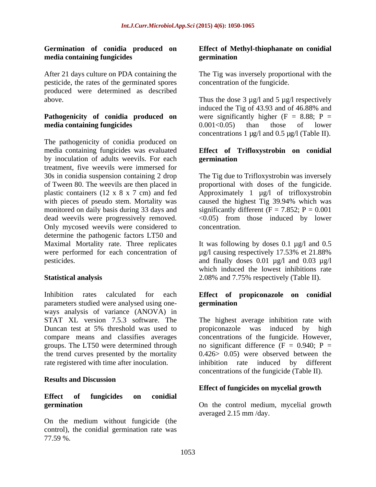## **media containing fungicides**

After 21 days culture on PDA containing the The Tig was inversely proportional with the pesticide, the rates of the germinated spores produced were determined as described

## **media containing fungicides** 0.001<0.05) than those of lower

The pathogenicity of conidia produced on media containing fungicideswas evaluated **Effect of Trifloxystrobin on conidial** by inoculation of adults weevils. For each **germination** treatment, five weevils were immersed for 30s in conidia suspension containing 2 drop The Tig due to Trifloxystrobin was inversely of Tween 80. The weevils are then placed in proportional with doses of the fungicide. plastic containers (12 x 8 x 7 cm) and fed Approximately 1 µg/l of trifloxystrobin with pieces of pseudo stem. Mortality was caused the highest Tig 39.94% which was monitored on daily basis during 33 days and significantly different  $(F = 7.852; P = 0.001$ dead weevils were progressively removed. <0.05) from those induced by lower Only mycosed weevils were considered to concentration. determine the pathogenic factors LT50 and Maximal Mortality rate. Three replicates It was following by doses 0.1 µg/l and 0.5 were performed for each concentration of µg/l causing respectively 17.53% et 21.88% pesticides. and finally doses 0.01 µg/l and 0.03 µg/l

Inhibition rates calculated for each **Effect of propiconazole on conidial** parameters studied were analysed using one ways analysis of variance (ANOVA) in STAT XL version 7.5.3 software. The compare means and classifies averages the trend curves presented by the mortality

### **Results and Discussion**

## **Effect of fungicides on conidial**

On the medium without fungicide (the control), the conidial germination rate was 77.59 %.

#### **Germination of conidia produced on Effect of Methyl-thiophanate on conidial germination**

concentration of the fungicide.

above. Thus the dose 3  $\mu$ g/l and 5  $\mu$ g/l respectively **Pathogenicity of conidia produced on** were significantly higher (F = 8.88; P = induced the Tig of 43.93 and of 46.88% and  $0.001<0.05$ ) than those of lower concentrations 1  $\mu$ g/l and 0.5  $\mu$ g/l (Table II).

## **germination**

concentration.

**Statistical analysis** 2.08% and 7.75% respectively (Table II). which induced the lowest inhibitions rate

# **germination**

Duncan test at 5% threshold was used to propiconazole was induced by high groups. The LT50 were determined through  $\qquad$  no significant difference (F = 0.940; P = rate registered with time after inoculation. inhibition rate induced by different The highest average inhibition rate with propiconazole was induced by high concentrations of the fungicide. However, 0.426> 0.05) were observed between the concentrations of the fungicide (Table II).

### **Effect of fungicides on mycelial growth**

**germination** On the control medium, mycelial growth averaged 2.15 mm /day.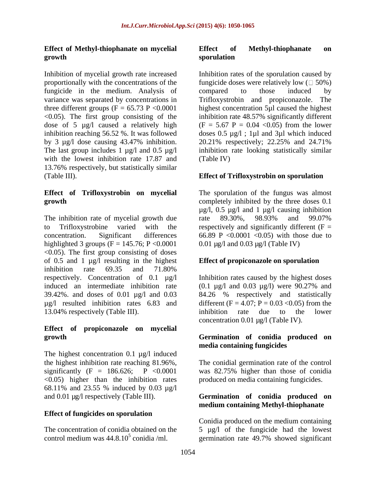## **Effect of Methyl-thiophanate on mycelial**

Inhibition of mycelial growth rate increased fungicide in the medium. Analysis of compared to those induced by variance was separated by concentrations in Trifloxystrobin and propiconazole. The dose of 5 µg/l caused a relatively high inhibition reaching 56.52 %. It was followed with the lowest inhibition rate 17.87 and (Table IV) 13.76% respectively, but statistically similar (Table III). **Effect of Trifloxystrobin on sporulation**

The inhibition rate of mycelial growth due rate 89.30%, 98.93% and 99.07% to Trifloxystrobine varied with the respectively and significantly different  $(F =$ concentration. Significant differences  $66.89 \text{ P} < 0.0001 < 0.05$  with those due to highlighted 3 groups ( $F = 145.76$ ;  $P < 0.0001$ <0.05). The first group consisting of doses of 0.5 and 1 µg/l resulting in the highest inhibition rate 69.35 and 71.80% respectively. Concentration of 0.1 µg/l Inhibition rates caused by the highest doses induced an intermediate inhibition rate  $(0.1 \text{ µg/l} \text{ and } 0.03 \text{ µg/l})$  were 90.27% and 39.42%. and doses of 0.01 µg/l and 0.03 84.26 % respectively and statistically µg/l resulted inhibition rates 6.83 and 13.04% respectively (Table III). This inhibition rate due to the lower

## **Effect of propiconazole on mycelial**

The highest concentration 0.1 µg/l induced 68.11% and 23.55 % induced by 0.03 µg/l and 0.01 µg/l respectively (Table III). **Germination of conidia produced on**

### **Effect of fungicides on sporulation**

control medium was  $44.8.10^5$  conidia /ml. germination rate  $49.7\%$  showed significant

#### **growth Effect of Methyl-thiophanate on sporulation**

proportionally with the concentrations of the fungicide doses were relatively low  $( \Box 50\%)$ variance was separated by concentrations in Trifloxystrobin and propiconazole. The three different groups  $(F = 65.73 \text{ P} < 0.0001$  highest concentration 5µl caused the highest <0.05). The first group consisting of the inhibition rate 48.57% significantly different by 3 µg/l dose causing 43.47% inhibition. 20.21% respectively; 22.25% and 24.71% The last group includes 1  $\mu$ g/l and 0.5  $\mu$ g/l inhibition rate looking statistically similar Inhibition rates of the sporulation caused by compared to those induced by  $(F = 5.67 \text{ P} = 0.04 \le 0.05)$  from the lower doses  $0.5 \mu g/l$ ; 1 $\mu l$  and 3 $\mu l$  which induced (Table IV)

**Effect of Trifloxystrobin on mycelial** The sporulation of the fungus was almost **growth** completely inhibited by the three doses 0.1  $\mu$ g/l, 0.5  $\mu$ g/l and 1  $\mu$ g/l causing inhibition rate 89.30%, 98.93% and 99.07% 0.01 µg/l and 0.03 µg/l (Table IV)

### **Effect of propiconazole on sporulation**

(0.1 µg/l and 0.03 µg/l) were 90.27% and different (F =  $4.07$ ; P =  $0.03$  < 0.05) from the inhibition rate due to the lower concentration 0.01 µg/l (Table IV).

### **growth Germination of conidia produced on media containing fungicides**

the highest inhibition rate reaching 81.96%, The conidial germination rate of the control significantly (F = 186.626; P <0.0001 was 82.75% higher than those of conidia <0.05) higher than the inhibition rates produced on media containing fungicides.

## **medium containing Methyl-thiophanate**

The concentration of conidia obtained on the 5 µg/l of the fungicide had the lowest Conidia produced on the medium containing germination rate 49.7% showed significant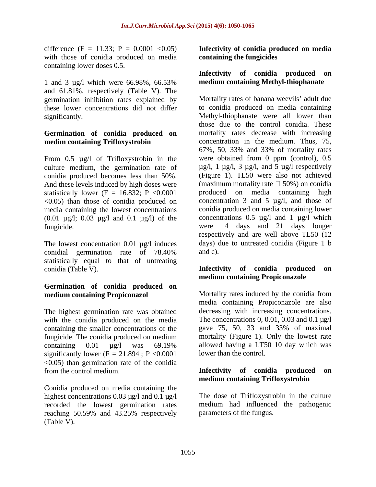difference (F = 11.33; P = 0.0001 < 0.05) with those of conidia produced on media containing lower doses 0.5.

1 and 3 µg/l which were 66.98%, 66.53% medium containing Methyl-thiophanate and 61.81%, respectively (Table V). The germination inhibition rates explained by these lower concentrations did not differ

## **Germination of conidia produced on**

From 0.5 µg/l of Trifloxystrobin in the culture medium, the germination rate of conidia produced becomes less than 50%. And these levels induced by high doses were statistically lower (F = 16.832; P < 0.0001 <0.05) than those of conidia produced on media containing the lowest concentrations (0.01  $\mu$ g/l; 0.03  $\mu$ g/l and 0.1  $\mu$ g/l) of the

The lowest concentration 0.01  $\mu$ g/l induces days) conidial germination rate of 78.40% and c). conidial germination rate of 78.40% statistically equal to that of untreating conidia (Table V). **Infectivity of conidia produced on**

## **Germination of conidia produced on**

The highest germination rate was obtained with the conidia produced on the media<br>containing the smaller concentrations of the gave 75, 50, 33 and 33% of maximal containing the smaller concentrations of the fungicide. The conidia produced on medium significantly lower ( $F = 21.894$ ; P < 0.0001  $\leq$ 0.05) than germination rate of the conidia from the control medium. **Infectivity of conidia produced on**

Conidia produced on media containing the highest concentrations 0.03  $\mu$ g/l and 0.1  $\mu$ g/l recorded the lowest germination rates reaching 50.59% and 43.25% respectively parameters of the fungus. (Table V).

**Infectivity of conidia produced on media containing the fungicides**

### **Infectivity of conidia produced on medium containing Methyl-thiophanate**

significantly. Methyl-thiophanate were all lower than **medim containing Trifloxystrobin** concentration in the medium. Thus, 75,<br>67%, 50, 33% and 33% of mortality rates fungicide. were 14 days and 21 days longer Mortality rates of banana weevils' adult due to conidia produced on media containing those due to the control conidia. These mortality rates decrease with increasing concentration in the medium. Thus, 75, 67%, 50, 33% and 33% of mortality rates were obtained from 0 ppm (control), 0.5  $\mu$ g/l, 1  $\mu$ g/l, 3  $\mu$ g/l, and 5  $\mu$ g/l respectively (Figure 1). TL50 were also not achieved (maximum mortality rate  $\Box$  50%) on conidia produced on media containing high concentration 3 and 5 µg/l, and those of conidia produced on media containing lower concentrations  $0.5 \mu g/l$  and  $1 \mu g/l$  which respectively and are well above TL50 (12 days) due to untreated conidia (Figure 1 b and c).

## **medium containing Propiconazole**

**medium containing Propiconazol** Mortality rates induced by the conidia from containing 0.01 μg/l was 69.19% allowed having a LT50 10 day which was media containing Propiconazole are also decreasing with increasing concentrations. The concentrations  $0, 0.01, 0.03$  and  $0.1 \text{ µg}/l$ gave 75, 50, 33 and 33% of maximal mortality (Figure 1). Only the lowest rate allowed having a LT50 10 day which was lower than the control.

## **medium containing Trifloxystrobin**

The dose of Trifloxystrobin in the culture medium had influenced the pathogenic parameters of the fungus.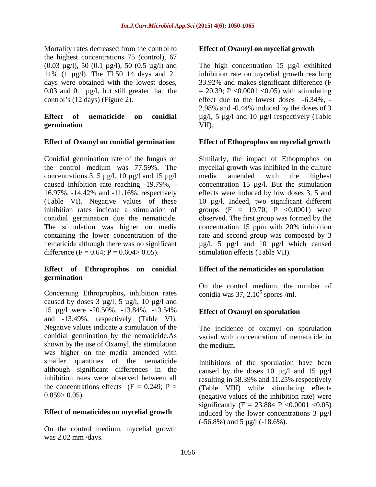Mortality rates decreased from the control to the highest concentrations 75 (control), 67 0.03 and 0.1 µg/l, but still greater than the

## **germination**

Conidial germination rate of the fungus on Similarly, the impact of Ethoprophos on the control medium was 77.59%. The mycelial growth was inhibited in the culture concentrations 3, 5  $\mu$ g/l, 10  $\mu$ g/l and 15  $\mu$ g/l media amended with the highest caused inhibition rate reaching -19.79%, - concentration 15 µg/l. But the stimulation 16.97%, -14.42% and -11.16%, respectively effects were induced by low doses3, 5 and (Table VI). Negative values of these 10 µg/l. Indeed, two significant different inhibition rates indicate a stimulation of groups  $(F = 19.70; P < 0.0001)$  were conidial germination due the nematicide. The stimulation was higher on media concentration 15 ppm with 20% inhibition containing the lower concentration of the rate and second group was composed by 3 containing the lower concentration of the rate and second group was composed by 3 nematicide although there was no significant  $\mu$ g/l, 5  $\mu$ g/l and 10  $\mu$ g/l which caused difference  $(F = 0.64; P = 0.604 > 0.05)$ .

### **Effect of Ethroprophos on conidial germination**

Concerning Ethroprophos**,** inhibition rates caused by doses  $3 \mu g/l$ ,  $5 \mu g/l$ ,  $10 \mu g/l$  and 15 µg/l were -20.50%, -13.84%, -13.54% and -13.49%, respectively (Table VI). Negative values indicate a stimulation of the The incidence of oxamyl on sporulation conidial germination by the nematicide.As varied with concentration of nematicide in shown by the use of Oxamyl, the stimulation the medium. was higher on the media amended with smaller quantities of the nematicide Inhibitions of the sporulation have been

### **Effect of nematicides on mycelial growth**

On the control medium, mycelial growth was 2.02 mm /days.

### **Effect of Oxamyl on mycelial growth**

 $(0.03 \text{ µg/l})$ , 50  $(0.1 \text{ µg/l})$ , 50  $(0.5 \text{ µg/l})$  and The high concentration 15  $\text{µg/l}$  exhibited 11% (1 µg/l). The TL50 14 days and 21 inhibition rate on mycelial growth reaching days were obtained with the lowest doses, 33.92% and makes significant difference (F control's  $(12 \text{ days})$  (Figure 2). effect due to the lowest doses  $-6.34\%$ ,  $-$ **Effect of nematicide on conidial** µg/l, 5 µg/l and 10 µg/l respectively (Table  $= 20.39$ ; P <0.0001 <0.05) with stimulating 2.98% and -0.44% induced by the doses of 3 VII).

### **Effect of Oxamyl on conidial germination Effect of Ethoprophos on mycelial growth**

media amended with the highest observed. The first group was formed by the concentration 15 ppm with 20% inhibition stimulation effects (Table VII).

### **Effect of the nematicides on sporulation**

On the control medium, the number of conidia was  $37$ ,  $2.10<sup>5</sup>$  spores /ml. spores /ml.

## **Effect of Oxamyl on sporulation**

the medium.

although significant differences in the caused by the doses 10 µg/l and 15 µg/l inhibition rates were observed between all resulting in 58.39% and 11.25% respectively the concentrations effects  $(F = 0.249; P =$  (Table VIII) while stimulating effects 0.859> 0.05). (negative values of the inhibition rate) were significantly (F = 23.884 P < 0.0001 < 0.05) induced by the lower concentrations  $3 \mu g/l$ (-56.8%) and 5 µg/l (-18.6%).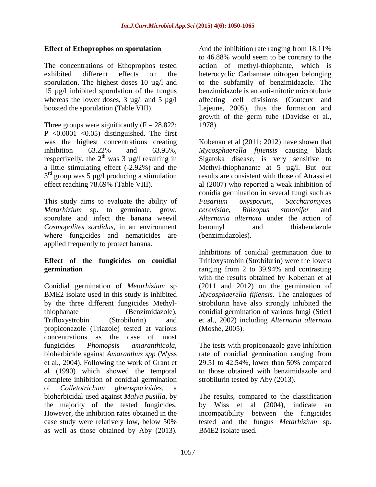15 µg/l inhibited sporulation of the fungus

Three groups were significantly  $(F = 28.822;$  1978). P  $\leq 0.0001 \leq 0.05$  distinguished. The first  $3<sup>rd</sup>$  group was 5 µg/l producing a stimulation

This study aims to evaluate the ability of Fusarium oxysporum, Saccharomyces *Metarhizium* sp. to germinate, grow, sporulate and infect the banana weevil *Cosmopolites sordidus*, in an environment where fungicides and nematicides are applied frequently to protect banana.

Conidial germination of *Metarhizium* sp (2011 and 2012) on the germination of BME2 isolate used in this study is inhibited *Mycosphaerella fijiensis*. The analogues of by the three different fungicides Methyl-strobilurin have also strongly inhibited the thiophanate (Benzimidazole), conidial germination of various fungi (Stierl Trifloxystrobin (Strobilurin) and et al., 2002) including *Alternaria alternata* propiconazole (Triazole) tested at various concentrations as the case of most fungicides *Phomopsis amaranthicola*, The tests with propiconazole gave inhibition<br>bioherbicide against *Amaranthus spp* (Wyss rate of conidial germination ranging from et al., 2004). Following the work of Grant et al (1990) which showed the temporal to those obtained with benzimidazole and complete inhibition of conidial germination of *Colletotrichum gloeosporioides*, a bioherbicidal used against *Malva pusilla,* by The results, compared to the classification the majority of the tested fungicides. by Wiss et al (2004), indicate an However, the inhibition rates obtained in the incompatibility between the fungicides case study were relatively low, below 50% **Effect of Ethoprophes on sportulation** as the similation are assign from 18.11%.<br>The constantineor of Eulopoptics tested a setting the mediation of the interaction<br>of the interaction of the interaction of the interaction

**Effect of Ethoprophos on sporulation** And the inhibition rate ranging from 18.11% The concentrations of Ethoprophos tested action of methyl-thiophante, which is exhibited different effects on the heterocyclic Carbamate nitrogen belonging sporulation. The highest doses 10 µg/l and to the subfamily of benzimidazole. The whereas the lower doses, 3 µg/l and 5 µg/l affecting cell divisions (Couteux and boosted the sporulation (Table VIII). Lejeune, 2005), thus the formation and to 46.88% would seem to be contrary to the benzimidazole is an anti-mitotic microtubule growth of the germ tube (Davidse et al., 1978).

was the highest concentrations creating Kobenan et al (2011; 2012) have shown that inhibition 63.22% and 63.95%, *Mycosphaerella fijiensis* causing black respectivelly, the  $2^{th}$  was 3 µg/l resulting in Sigatoka disease, is very sensitive to a little stimulating effect (-2.92%) and the Methyl-thiophanante at 5 µg/l. But our  $3<sup>rd</sup>$  group was 5 µg/l producing a stimulation results are consistent with those of Atrassi et effect reaching 78.69% (Table VIII). al (2007) who reported a weak inhibition of *Mycosphaerella fijiensis* causing black conidia germination in several fungi such as *Fusarium oxysporum*, *Saccharomyces cerevisiae*, *Rhizopus stolonifer* and *Alternaria alternata* under the action of benomyl and thiabendazole (benzimidazoles).

**Effect of the fungicides on conidial** Trifloxystrobin (Strobilurin) were the lowest **germination** ranging from 2 to 39.94% and contrasting Inhibitions of conidial germination due to with the results obtained by Kobenan et al (Moshe, 2005).

> The tests with propiconazole gave inhibition rate of conidial germination ranging from 29.51 to 42.54%, lower than 50% compared strobilurin tested by Aby (2013).

by Wiss et al (2004), indicate an tested and the fungus *Metarhizium* sp. BME2 isolate used.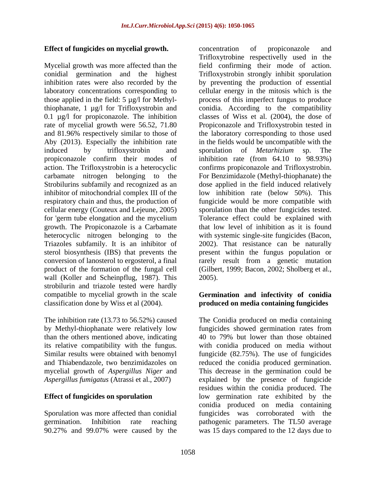### Effect of fungicides on mycelial growth. concentration of propiconazole and

Mycelial growth was more affected than the laboratory concentrations corresponding to Aby (2013). Especially the inhibition rate induced by trifloxystrobin and sporulation of *Metarhizium* sp. The inhibitor of mitochondrial complex III of the for 'germ tube elongation and the mycelium sterol biosynthesis (IBS) that prevents the wall (Koller and Scheinpflug, 1987). This 2005). strobilurin and triazole tested were hardly compatible to mycelial growth in the scale **Germination and infectivity of conidia** classification done by Wiss et al (2004). **produced on media containing fungicides**

than the others mentioned above, indicating 40 to 79% but lower than those obtained

conidial germination and the highest Trifloxystrobin strongly inhibit sporulation inhibition rates were also recorded by the by preventing the production of essential those applied in the field: 5 µg/l for Methyl-process of this imperfect fungus to produce thiophanate, 1 µg/l for Trifloxystrobin and conidia. According to the compatibility 0.1 µg/l for propiconazole. The inhibition classes of Wiss et al. (2004), the dose of rate of mycelial growth were 56.52, 71.80 Propiconazole and Trifloxystrobin tested in and 81.96% respectively similar to those of the laboratory corresponding to those used propiconazole confirm their modes of inhibition rate (from 64.10 to 98.93%) action. The Trifloxystrobin is a heterocyclic confirms propiconazole and Trifloxystrobin. carbamate nitrogen belonging to the For Benzimidazole (Methyl-thiophanate) the Strobilurins subfamily and recognized as an dose applied in the field induced relatively respiratory chain and thus, the production of fungicide would be more compatible with cellular energy (Couteux and Lejeune, 2005) sporulation than the other fungicides tested. growth. The Propiconazole is a Carbamate that low level of inhibition as it is found heterocyclic nitrogen belonging to the with systemic single-site fungicides (Bacon, Triazoles subfamily. It is an inhibitor of 2002). That resistance can be naturally conversion of lanosterol to ergosterol, a final rarely result from a genetic mutation product of the formation of the fungal cell (Gilbert, 1999; Bacon, 2002; Sholberg et al., concentration of propiconazole and Trifloxytrobine respectivelly used in the field confirming their mode of action. cellular energy in the mitosis which is the in the fields would be uncompatible with the sporulation of *Metarhizium* sp. The low inhibition rate (below 50%). This Tolerance effect could be explained with present within the fungus population or 2005).

The inhibition rate (13.73 to 56.52%) caused The Conidia produced on media containing by Methyl-thiophanate were relatively low fungicides showed germination rates from its relative compatibility with the fungus. with conidia produced on media without Similar results were obtained with benomyl fungicide (82.75%). The use of fungicides and Thiabendazole, two benzimidazoles on reduced the conidia produced germination. mycelial growth of *Aspergillus Niger* and This decrease in the germination could be *Aspergillus fumigatus* (Atrassi et al., 2007) explained by the presence of fungicide **Effect of fungicides on sporulation** low germination rate exhibited by the Sporulation was more affected than conidial fungicides was corroborated with the germination. Inhibition rate reaching pathogenic parameters. The TL50 average 90.27% and 99.07% were caused by the was 15 days compared to the 12 days due to 40 to 79% but lower than those obtained residues within the conidia produced. The conidia produced on media containing was 15 days compared to the 12 days due to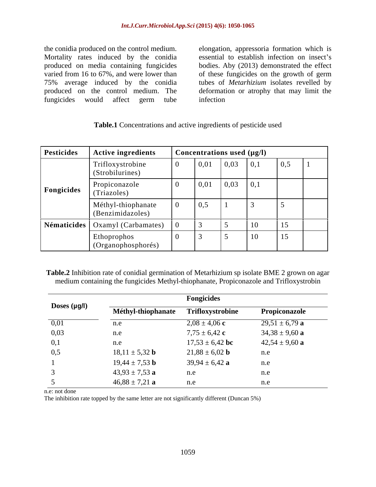the conidia produced on the control medium. elongation, appressoria formation which is Mortality rates induced by the conidia produced on media containing fungicides bodies. Aby (2013) demonstrated the effect varied from 16 to 67%, and were lower than of these fungicides on the growth of germ 75% average induced by the conidia tubes of *Metarhizium* isolates revelled by produced on the control medium. The deformation or atrophy that may limit the

fungicides would affect germ tube essential to establish infection on insect's infection **in the contract of the set of the set of the set of the set of the set of the set of the set of the set of the set of the set of the set of the set of the set of the set of the set of the set of the set of the s** 

| Pesticides | <b>Active ingredients</b>              | Concentrations used (µg/l) |      |                   |                   |  |  |
|------------|----------------------------------------|----------------------------|------|-------------------|-------------------|--|--|
|            | Trifloxystrobine<br>(Strobilurines)    | 0,01                       | 0,03 | $\vert 0,1 \vert$ | $\vert 0,5 \vert$ |  |  |
| Fongicides | Propiconazole<br>(Triazoles)           | 0,01                       | 0,03 | $\vert 0,1$       |                   |  |  |
|            | Méthyl-thiophanate<br>(Benzimidazoles) | 0,5                        |      |                   |                   |  |  |
|            | Nématicides   Oxamyl (Carbamates)      |                            |      |                   | 15                |  |  |
|            | Ethoprophos<br>(Organophosphorés)      |                            |      | 10                | 15                |  |  |

**Table.1** Concentrations and active ingredients of pesticide used

**Table.2** Inhibition rate of conidial germination of Metarhizium sp isolate BME 2 grown on agar medium containing the fungicides Methyl-thiophanate, Propiconazole and Trifloxystrobin

|              |                           | <b>Fongicides</b>         |                    |
|--------------|---------------------------|---------------------------|--------------------|
| Doses (µg/l) | Méthyl-thiophanate        | Trifloxystrobine          | Propiconazole      |
| 0,01         | n.e                       | $2,08 \pm 4,06$ c         | $29,51 \pm 6,79$ a |
| 0,03         | n.e                       | $7,75 \pm 6,42$ c         | $34,38 \pm 9,60$ a |
| 0,1          | n.e                       | $17,53 \pm 6,42$ bc       | $42,54 \pm 9,60$ a |
| 0,5          | $18,11 \pm 5,32$ <b>b</b> | $21,88 \pm 6,02$ <b>b</b> | n.e                |
|              | $19,44 \pm 7,53$ <b>b</b> | $39,94 \pm 6,42$ a        | n.e                |
|              | $43,93 \pm 7,53$ a        | n.e                       | n.e                |
|              | $46,88 \pm 7,21$ a        | n.e                       | n.e                |

n.e: not done

The inhibition rate topped by the same letter are not significantly different (Duncan 5%)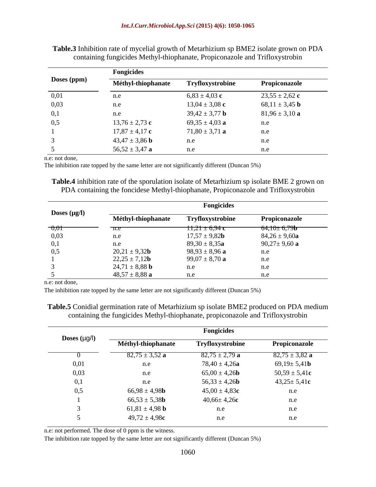|             | <b>Fongicides</b>         |                           |                           |  |  |  |
|-------------|---------------------------|---------------------------|---------------------------|--|--|--|
| Doses (ppm) | Méthyl-thiophanate        | Tryfloxystrobine          | Propiconazole             |  |  |  |
| 0,01        | n.e                       | $6,83 \pm 4,03$ c         | $23,55 \pm 2,62$ c        |  |  |  |
| 0,03        | n.e                       | $13,04 \pm 3,08$ c        | 68,11 $\pm$ 3,45 <b>b</b> |  |  |  |
| 0,1         | n.e                       | $39,42 \pm 3,77$ <b>b</b> | $81,96 \pm 3,10$ a        |  |  |  |
| 0,5         | $13,76 \pm 2,73$ c        | $69,35 \pm 4,03$ a        | n.e                       |  |  |  |
|             | $17,87 \pm 4,17$ c        | $71,80 \pm 3,71$ a        | n.e                       |  |  |  |
|             | $43,47 \pm 3,86$ <b>b</b> | n.e                       | n.e                       |  |  |  |
|             | 56,52 $\pm$ 3,47 a        | n.e                       | n.e                       |  |  |  |

**Table.3** Inhibition rate of mycelial growth of Metarhizium sp BME2 isolate grown on PDA containing fungicides Methyl-thiophanate, Propiconazole and Trifloxystrobin

n.e: not done,

The inhibition rate topped by the same letter are not significantly different (Duncan 5%)

**Table.4** inhibition rate of the sporulation isolate of Metarhizium sp isolate BME 2 grown on PDA containing the foncidese Methyl-thiophanate, Propiconazole and Trifloxystrobin

|                   |                           | <b>Fongicides</b>  |                                                            |
|-------------------|---------------------------|--------------------|------------------------------------------------------------|
| Doses $(\mu g/l)$ | Méthyl-thiophanate        | Tryfloxystrobine   | Propiconazole                                              |
| $-0,01$           | $\pi$ .e                  | $11,21 \pm 6,94$ c | $64,10\pm 6,79$ <b>b</b><br>$\overbrace{\hspace{40pt}}^{}$ |
| 0,03              | n.e                       | $17,57 \pm 9,82b$  | $84,26 \pm 9,60a$                                          |
| 0,1               | n.e                       | $89,30 \pm 8,35a$  | $90,27 \pm 9,60$ a                                         |
| 0,5               | $20,21 \pm 9,32b$         | $98,93 \pm 8,96$ a | n.e                                                        |
|                   | $22,25 \pm 7,12b$         | $99,07 \pm 8,70$ a | n.e                                                        |
|                   | $24,71 \pm 8,88$ <b>b</b> | n.e                | n.e                                                        |
|                   | $48,57 \pm 8,88$ a        | n.e                |                                                            |

n.e: not done,

The inhibition rate topped by the same letter are not significantly different (Duncan 5%)

**Table.5** Conidial germination rate of Metarhizium sp isolate BME2 produced on PDA medium containing the fungicides Methyl-thiophanate, propiconazole and Trifloxystrobin

|                           |                           | <b>Fongicides</b>         |                           |
|---------------------------|---------------------------|---------------------------|---------------------------|
| <b>Doses</b> ( $\mu$ g/l) | Méthyl-thiophanate        | Tryfloxystrobine          | Propiconazole             |
|                           | $82,75 \pm 3,52$ a        | $82,75 \pm 2,79$ a        | $82,75 \pm 3,82$ a        |
| 0,01                      | n.e                       | $78,40 \pm 4,26a$         | $69,19 \pm 5,41$ <b>b</b> |
| 0,03                      | n.e                       | $65,00 \pm 4,26$ <b>b</b> | $50,59 \pm 5,41c$         |
| $\Omega$ 1<br>v,1         | n.e                       | $56,33 \pm 4,26b$         | $43,25 \pm 5,41c$         |
| 0,5                       | $66,98 \pm 4,98$ <b>b</b> | $45,00 \pm 4,83c$         | n.e                       |
|                           | $66,53 \pm 5,38$ <b>b</b> | $40,66 \pm 4,26$ c        | n.e                       |
|                           | $61,81 \pm 4,98$ <b>b</b> | n.e                       | n.e                       |
|                           | $49,72 \pm 4,98c$         | n.e                       | n.e                       |

n.e: not performed. The dose of 0 ppm is the witness.

The inhibition rate topped by the same letter are not significantly different (Duncan 5%)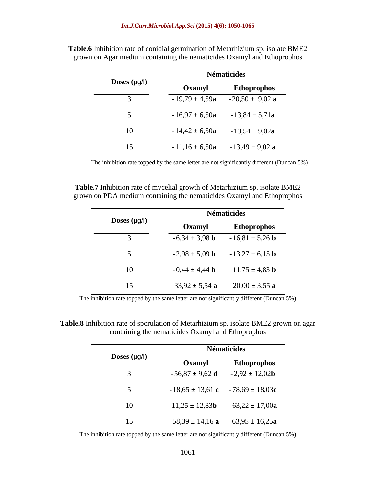|                          |                    | <b>Nématicides</b>  |
|--------------------------|--------------------|---------------------|
| <b>Doses</b> $(\mu g/l)$ | Oxamyl             | Ethoprophos         |
|                          | $-19,79 \pm 4,59a$ | $-20,50 \pm 9,02$ a |
|                          | $-16,97 \pm 6,50a$ | $-13,84 \pm 5,71a$  |
| 10                       | $-14,42 \pm 6,50a$ | $-13,54 \pm 9,02a$  |
| 15                       | $-11,16 \pm 6,50a$ | $-13,49 \pm 9,02$ a |

**Table.6** Inhibition rate of conidial germination of Metarhizium sp. isolate BME2 grown on Agar medium containing the nematicides Oxamyl and Ethoprophos

The inhibition rate topped by the same letter are not significantly different (Duncan 5%)

**Table.7** Inhibition rate of mycelial growth of Metarhizium sp. isolate BME2 grown on PDA medium containing the nematicides Oxamyl and Ethoprophos

|                          |                           | <b>Nématicides</b>                                   |
|--------------------------|---------------------------|------------------------------------------------------|
| <b>Doses</b> $(\mu g/I)$ | Oxamyl                    | Ethoprophos                                          |
|                          | $-6,34 \pm 3,98$ <b>b</b> | $-16,81 \pm 5,26$ <b>b</b>                           |
|                          |                           | $-2,98 \pm 5,09$ <b>b</b> $-13,27 \pm 6,15$ <b>b</b> |
| 10                       | $-0,44 \pm 4,44$ b        | $-11,75 \pm 4,83$ <b>b</b>                           |
| 15                       | $33,92 \pm 5,54$ a        | $20,00 \pm 3,55$ a                                   |

The inhibition rate topped by the same letter are not significantly different (Duncan 5%)

**Table.8** Inhibition rate of sporulation of Metarhizium sp. isolate BME2 grown on agar containing the nematicides Oxamyl and Ethoprophos

|                          |                     | <b>Nématicides</b>                        |
|--------------------------|---------------------|-------------------------------------------|
| <b>Doses</b> $(\mu g/l)$ | Oxamyl              | Ethoprophos                               |
|                          | $-56,87 \pm 9,62$ d | $-2,92 \pm 12,02b$                        |
|                          |                     | $-18,65 \pm 13,61$ c $-78,69 \pm 18,03$ c |
| 10                       | $11,25 \pm 12,83b$  | $63,22 \pm 17,00a$                        |
| 15                       | $58,39 \pm 14,16$ a | $63,95 \pm 16,25a$                        |

The inhibition rate topped by the same letter are not significantly different (Duncan 5%)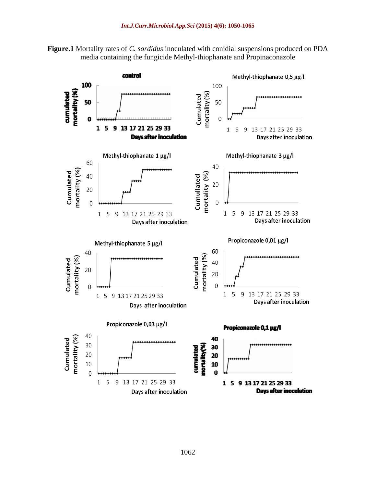



1062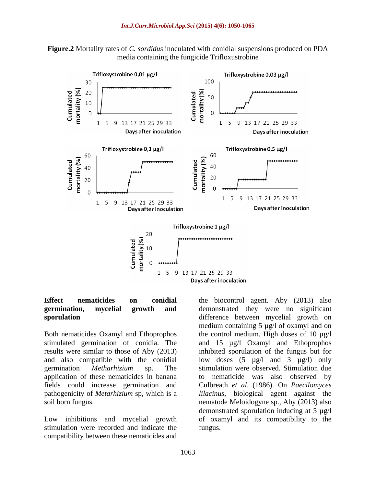



Both nematicides Oxamyl and Ethoprophos

stimulation were recorded and indicate the compatibility between these nematicides and

**Effect nematicides on conidial** the biocontrol agent. Aby (2013) also **germination, mycelial growth and** demonstrated they were no significant **sporulation** difference between mycelial growth on stimulated germination of conidia. The and 15 µg/l Oxamyl and Ethoprophos results were similar to those of Aby (2013) inhibited sporulation of the fungus but for and also compatible with the conidial low doses (5 µg/l and 3 µg/l) only germination *Metharhizium* sp. The stimulation were observed. Stimulation due application of these nematicides in banana to nematicide was also observed by fields could increase germination and Culbreath *et al*. (1986). On *Paecilomyces*  pathogenicity of *Metarhizium* sp, which is a *lilacinus*, biological agent against the soil born fungus. nematode Meloidogyne sp., Aby (2013) also Low inhibitions and mycelial growth of oxamyl and its compatibility to the medium containing 5 µg/l of oxamyl and on the control medium. High doses of 10  $\mu$ g/l demonstrated sporulation inducing at 5 µg/l fungus.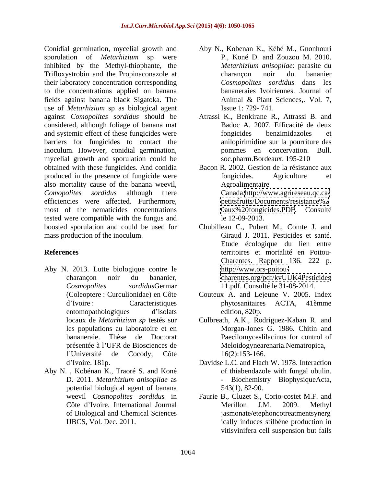Conidial germination, mycelial growth and sporulation of *Metarhizium* sp were inhibited by the Methyl-thiophante, the *Metarhizium anisopliae*: parasite du Trifloxystrobin and the Propinaconazole at their laboratory concentration corresponding to the concentrations applied on banana fields against banana black Sigatoka. The use of *Metarhizium* sp as biological agent against *Comopolites sordidus* should be considered, although foliage of banana mat and systemic effect of these fungicides were fongicides benzimidazoles et barriers for fungicides to contact the inoculum. However, conidial germination, mycelial growth and sporulation could be obtained with these fungicides. And conidia produced in the presence of fungicide were fongicides. Agriculture et also mortality cause of the banana weevil, *Comopolites sordidus* although there Canada[.http://www.agrireseau.qc.ca/](http://www.agrireseau.qc.ca/) efficiencies were affected. Furthermore, most of the nematicides concentrations tested were compatible with the fungus and boosted sporulation and could be used for Chubilleau C., Pubert M., Comte J. and mass production of the inoculum. Giraud J. 2011. Pesticides et santé.

- Aby N. 2013. Lutte biologique contre le  $l'$ Université de Cocody, Côte  $16(2):153-166$ .
- Aby N. , Kobénan K., Traoré S. and Koné D. 2011. *Metarhizium anisopliae* as potential biological agent of banana of Biological and Chemical Sciences
- Aby N., Kobenan K., Kéhé M., Gnonhouri P., Koné D. and Zouzou M. 2010. *Metarhizium anisopliae*: parasite du charançon noir du bananier *Cosmopolites sordidus* dans les bananeraies Ivoiriennes. Journal of Animal & Plant Sciences,. Vol. 7, Issue 1: 729- 741.
- Atrassi K., Benkirane R., Attrassi B. and Badoc A. 2007. Efficacité de deux fongicides benzimidazoles et anilopirimidine sur la pourriture des pommes en concervation. Bull. soc.pharm.Bordeaux. 195-210
- Bacon R. 2002. Gestion de la résistance aux fongicides. Agriculture et Agroalimentaire <petitsfruits/Documents/resistance%2> <0aux%20fongicides.PDF>. Consulté le 12-09-2013.
- **References** territoires et mortalité en Poitou charançon noir du bananier, <charentes.org/pdf/kvUUK4Pesticides> *Cosmopolites sordidus*Germar 11.pdf. Consulté le 31-08-2014. Etude écologique du lien entre Charentes. Rapport 136. 222 p. <http://www.ors-poitou->
	- (Coleoptere : Curculionidae) en Côte Couteux A. and Lejeune V. 2005. Index d'Ivoire : Caracteristiques phytosanitaires ACTA, 41èmme entomopathologiques d'isolats edition, 820p. phytosanitaires ACTA, 41èmme edition, 820p.
	- locaux de *Metarhizium sp* testés sur Culbreath, A.K., Rodriguez-Kaban R. and les populations au laboratoire et en Morgan-Jones G. 1986. Chitin and bananeraie. Thèse de Doctorat Paecilomyceslilacinus for control of présentée à l'UFR de Biosciences de Meloidogynearenaria.Nematropica, 16(2):153-166.
	- d Ivoire. 181p. Davidse L.C. and Flach W. 1978. Interaction of thiabendazole with fungal ubulin. Biochemistry BiophysiqueActa, 543(1), 82-90.
	- weevil *Cosmopolites sordidus* in Faurie B., Cluzet S., Corio-costet M.F. and Côte d'Ivoire. International Journal Merillon J.M. 2009. Methyl IJBCS, Vol. Dec. 2011. ically induces stilbène production in Merillon J.M. 2009. Methyl jasmonate/etephoncotreatmentsynerg vitisvinifera cell suspension but fails